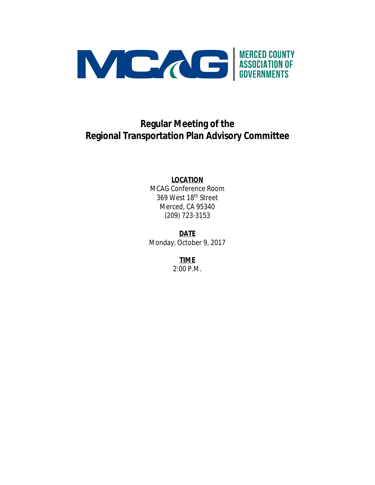

## **Regular Meeting of the Regional Transportation Plan Advisory Committee**

#### **LOCATION**

MCAG Conference Room 369 West 18th Street Merced, CA 95340 (209) 723-3153

**DATE** Monday, October 9, 2017

> **TIME** 2:00 P.M.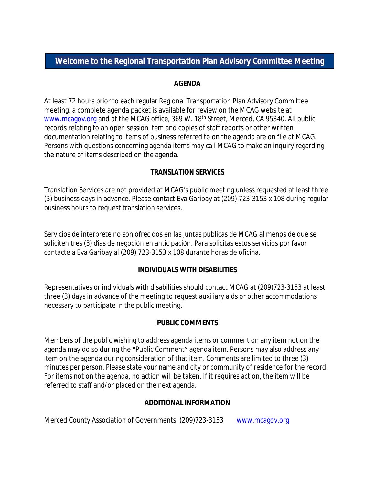## **Welcome to the Regional Transportation Plan Advisory Committee Meeting**

#### **AGENDA**

At least 72 hours prior to each regular Regional Transportation Plan Advisory Committee meeting, a complete agenda packet is available for review on the MCAG website at www.mcagov.org and at the MCAG office, 369 W. 18<sup>th</sup> Street, Merced, CA 95340. All public records relating to an open session item and copies of staff reports or other written documentation relating to items of business referred to on the agenda are on file at MCAG. Persons with questions concerning agenda items may call MCAG to make an inquiry regarding the nature of items described on the agenda.

#### **TRANSLATION SERVICES**

Translation Services are not provided at MCAG's public meeting unless requested at least three (3) business days in advance. Please contact Eva Garibay at (209) 723-3153 x 108 during regular business hours to request translation services.

Servicios de interpreté no son ofrecidos en las juntas públicas de MCAG al menos de que se soliciten tres (3) dias de negoción en anticipación. Para solicitas estos servicios por favor contacte a Eva Garibay al (209) 723-3153 x 108 durante horas de oficina.

#### **INDIVIDUALS WITH DISABILITIES**

Representatives or individuals with disabilities should contact MCAG at (209)723-3153 at least three (3) days in advance of the meeting to request auxiliary aids or other accommodations necessary to participate in the public meeting.

#### **PUBLIC COMMENTS**

Members of the public wishing to address agenda items or comment on any item not on the agenda may do so during the "Public Comment" agenda item. Persons may also address any item on the agenda during consideration of that item. Comments are limited to three (3) minutes per person. Please state your name and city or community of residence for the record. For items not on the agenda, no action will be taken. If it requires action, the item will be referred to staff and/or placed on the next agenda.

#### **ADDITIONAL INFORMATION**

Merced County Association of Governments (209)723-3153 www.mcagov.org